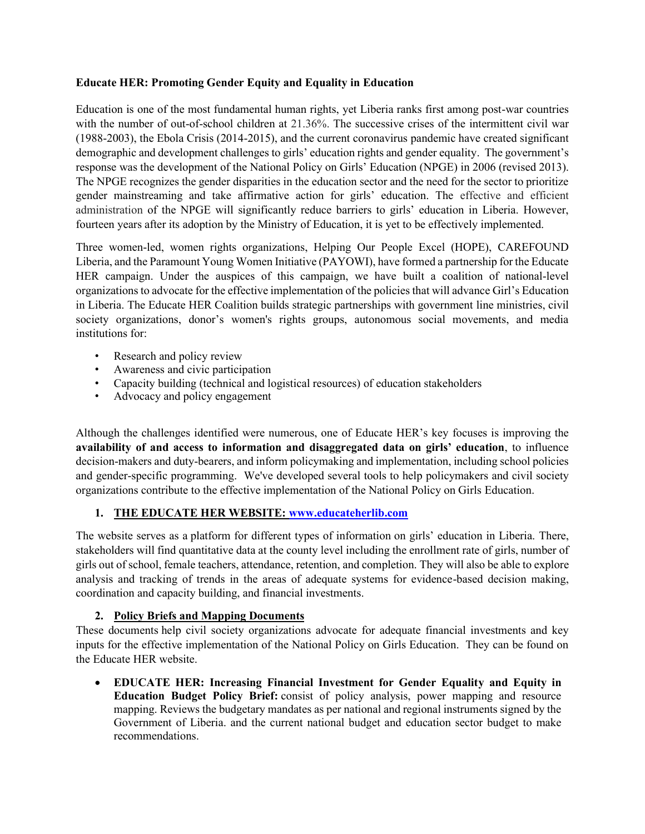## **Educate HER: Promoting Gender Equity and Equality in Education**

Education is one of the most fundamental human rights, yet Liberia ranks first among post-war countries with the number of out-of-school children at 21.36%. The successive crises of the intermittent civil war (1988-2003), the Ebola Crisis (2014-2015), and the current coronavirus pandemic have created significant demographic and development challenges to girls' education rights and gender equality. The government's response was the development of the National Policy on Girls' Education (NPGE) in 2006 (revised 2013). The NPGE recognizes the gender disparities in the education sector and the need for the sector to prioritize gender mainstreaming and take affirmative action for girls' education. The effective and efficient administration of the NPGE will significantly reduce barriers to girls' education in Liberia. However, fourteen years after its adoption by the Ministry of Education, it is yet to be effectively implemented.

Three women-led, women rights organizations, Helping Our People Excel (HOPE), CAREFOUND Liberia, and the Paramount Young Women Initiative (PAYOWI), have formed a partnership for the Educate HER campaign. Under the auspices of this campaign, we have built a coalition of national-level organizations to advocate for the effective implementation of the policies that will advance Girl's Education in Liberia. The Educate HER Coalition builds strategic partnerships with government line ministries, civil society organizations, donor's women's rights groups, autonomous social movements, and media institutions for:

- Research and policy review
- Awareness and civic participation
- Capacity building (technical and logistical resources) of education stakeholders
- Advocacy and policy engagement

Although the challenges identified were numerous, one of Educate HER's key focuses is improving the **availability of and access to information and disaggregated data on girls' education**, to influence decision-makers and duty-bearers, and inform policymaking and implementation, including school policies and gender-specific programming. We've developed several tools to help policymakers and civil society organizations contribute to the effective implementation of the National Policy on Girls Education.

## **1. THE EDUCATE HER WEBSITE: [www.educateherlib.com](http://www.educateherlib.com/)**

The website serves as a platform for different types of information on girls' education in Liberia. There, stakeholders will find quantitative data at the county level including the enrollment rate of girls, number of girls out of school, female teachers, attendance, retention, and completion. They will also be able to explore analysis and tracking of trends in the areas of adequate systems for evidence-based decision making, coordination and capacity building, and financial investments.

## **2. Policy Briefs and Mapping Documents**

These documents help civil society organizations advocate for adequate financial investments and key inputs for the effective implementation of the National Policy on Girls Education. They can be found on the Educate HER website.

• **EDUCATE HER: Increasing Financial Investment for Gender Equality and Equity in Education Budget Policy Brief:** consist of policy analysis, power mapping and resource mapping. Reviews the budgetary mandates as per national and regional instruments signed by the Government of Liberia. and the current national budget and education sector budget to make recommendations.